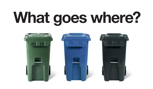# **What goes where?**